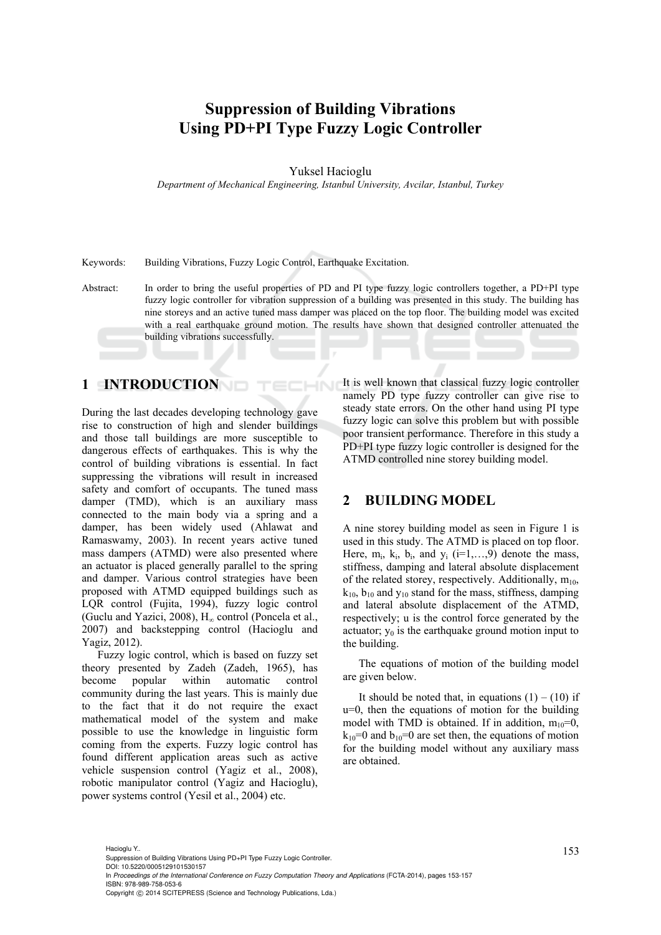# **Suppression of Building Vibrations Using PD+PI Type Fuzzy Logic Controller**

Yuksel Hacioglu

*Department of Mechanical Engineering, Istanbul University, Avcilar, Istanbul, Turkey* 

Keywords: Building Vibrations, Fuzzy Logic Control, Earthquake Excitation.

Abstract: In order to bring the useful properties of PD and PI type fuzzy logic controllers together, a PD+PI type fuzzy logic controller for vibration suppression of a building was presented in this study. The building has nine storeys and an active tuned mass damper was placed on the top floor. The building model was excited with a real earthquake ground motion. The results have shown that designed controller attenuated the building vibrations successfully.

INI

## **1 INTRODUCTION**

During the last decades developing technology gave rise to construction of high and slender buildings and those tall buildings are more susceptible to dangerous effects of earthquakes. This is why the control of building vibrations is essential. In fact suppressing the vibrations will result in increased safety and comfort of occupants. The tuned mass damper (TMD), which is an auxiliary mass connected to the main body via a spring and a damper, has been widely used (Ahlawat and Ramaswamy, 2003). In recent years active tuned mass dampers (ATMD) were also presented where an actuator is placed generally parallel to the spring and damper. Various control strategies have been proposed with ATMD equipped buildings such as LQR control (Fujita, 1994), fuzzy logic control (Guclu and Yazici, 2008),  $H_{\infty}$  control (Poncela et al., 2007) and backstepping control (Hacioglu and Yagiz, 2012).

Fuzzy logic control, which is based on fuzzy set theory presented by Zadeh (Zadeh, 1965), has become popular within automatic control community during the last years. This is mainly due to the fact that it do not require the exact mathematical model of the system and make possible to use the knowledge in linguistic form coming from the experts. Fuzzy logic control has found different application areas such as active vehicle suspension control (Yagiz et al., 2008), robotic manipulator control (Yagiz and Hacioglu), power systems control (Yesil et al., 2004) etc.

It is well known that classical fuzzy logic controller namely PD type fuzzy controller can give rise to steady state errors. On the other hand using PI type fuzzy logic can solve this problem but with possible poor transient performance. Therefore in this study a PD+PI type fuzzy logic controller is designed for the ATMD controlled nine storey building model.

#### **2 BUILDING MODEL**

A nine storey building model as seen in Figure 1 is used in this study. The ATMD is placed on top floor. Here,  $m_i$ ,  $k_i$ ,  $b_i$ , and  $v_i$  (i=1,...,9) denote the mass, stiffness, damping and lateral absolute displacement of the related storey, respectively. Additionally,  $m_{10}$ ,  $k_{10}$ ,  $b_{10}$  and  $y_{10}$  stand for the mass, stiffness, damping and lateral absolute displacement of the ATMD, respectively; u is the control force generated by the actuator;  $y_0$  is the earthquake ground motion input to the building.

The equations of motion of the building model are given below.

It should be noted that, in equations  $(1) - (10)$  if u=0, then the equations of motion for the building model with TMD is obtained. If in addition,  $m_{10}=0$ ,  $k_{10}=0$  and  $b_{10}=0$  are set then, the equations of motion for the building model without any auxiliary mass are obtained.

<sup>153</sup> Hacioglu Y.. Suppression of Building Vibrations Using PD+PI Type Fuzzy Logic Controller. DOI: 10.5220/0005129101530157 In *Proceedings of the International Conference on Fuzzy Computation Theory and Applications* (FCTA-2014), pages 153-157 ISBN: 978-989-758-053-6 Copyright © 2014 SCITEPRESS (Science and Technology Publications, Lda.)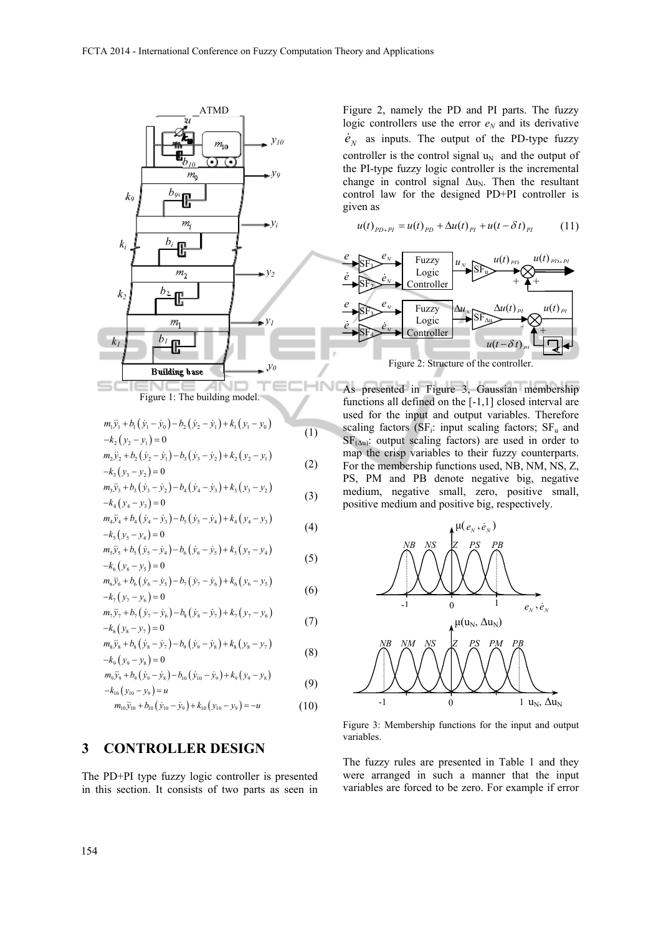

### **3 CONTROLLER DESIGN**

The PD+PI type fuzzy logic controller is presented in this section. It consists of two parts as seen in Figure 2, namely the PD and PI parts. The fuzzy logic controllers use the error  $e_N$  and its derivative  $\dot{e}_N$  as inputs. The output of the PD-type fuzzy controller is the control signal  $u_N$  and the output of the PI-type fuzzy logic controller is the incremental change in control signal  $\Delta u_N$ . Then the resultant control law for the designed PD+PI controller is given as

$$
u(t)_{PD+PI} = u(t)_{PD} + \Delta u(t)_{PI} + u(t - \delta t)_{PI}
$$
 (11)



As presented in Figure 3, Gaussian membership functions all defined on the [-1,1] closed interval are used for the input and output variables. Therefore scaling factors ( $SF_i$ : input scaling factors;  $SF_u$  and  $SF_{(\Delta u)}$ : output scaling factors) are used in order to map the crisp variables to their fuzzy counterparts. For the membership functions used, NB, NM, NS, Z, PS, PM and PB denote negative big, negative medium, negative small, zero, positive small, positive medium and positive big, respectively.



Figure 3: Membership functions for the input and output variables.

The fuzzy rules are presented in Table 1 and they were arranged in such a manner that the input variables are forced to be zero. For example if error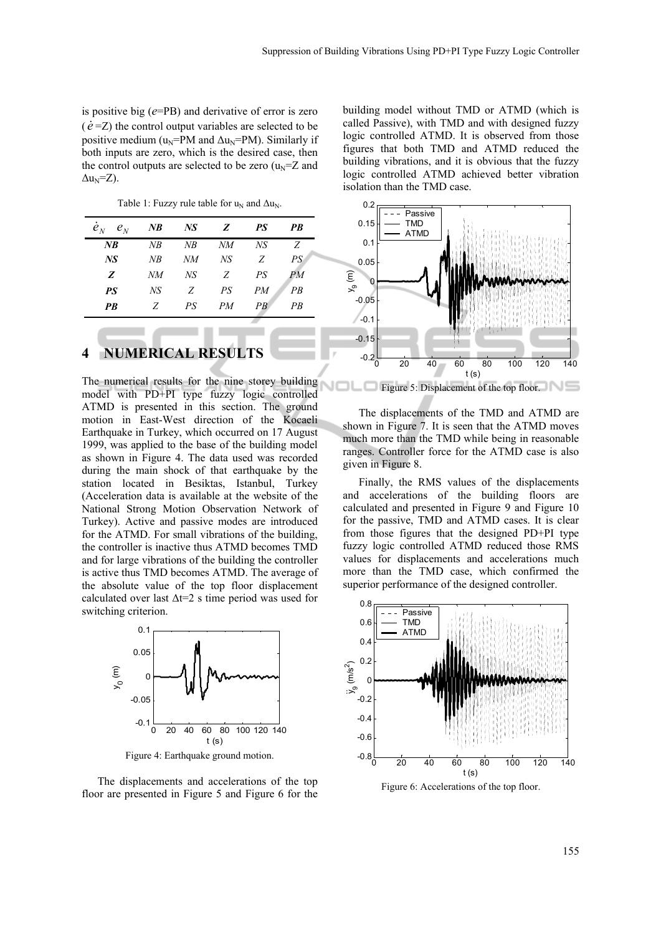is positive big (*e*=PB) and derivative of error is zero  $(\dot{e} = Z)$  the control output variables are selected to be positive medium ( $u_N$ =PM and  $\Delta u_N$ =PM). Similarly if both inputs are zero, which is the desired case, then the control outputs are selected to be zero  $(u_N=Z$  and  $\Delta u_N = Z$ ).

Table 1: Fuzzy rule table for  $u_N$  and  $\Delta u_N$ .

| $e_{N}$<br>$e_{N}$ | $N$ B | NS | Z  | PS              | PB |
|--------------------|-------|----|----|-----------------|----|
| $N$ B              | NB    | NB | NM | NS <sup>-</sup> | Z  |
| NS <sup>-</sup>    | NB    | NМ | NS | Z               | PS |
| Z                  | NМ    | NS | Z  | PS              | PМ |
| <b>PS</b>          | NS    | Z  | PS | PM              | PR |
| <b>PB</b>          | Z     | PS | PM | PB              | РB |

#### **4 NUMERICAL RESULTS**

The numerical results for the nine storey building model with PD+PI type fuzzy logic controlled ATMD is presented in this section. The ground motion in East-West direction of the Kocaeli Earthquake in Turkey, which occurred on 17 August 1999, was applied to the base of the building model as shown in Figure 4. The data used was recorded during the main shock of that earthquake by the station located in Besiktas, Istanbul, Turkey (Acceleration data is available at the website of the National Strong Motion Observation Network of Turkey). Active and passive modes are introduced for the ATMD. For small vibrations of the building, the controller is inactive thus ATMD becomes TMD and for large vibrations of the building the controller is active thus TMD becomes ATMD. The average of the absolute value of the top floor displacement calculated over last  $\Delta t = 2$  s time period was used for switching criterion.



Figure 4: Earthquake ground motion.

The displacements and accelerations of the top floor are presented in Figure 5 and Figure 6 for the building model without TMD or ATMD (which is called Passive), with TMD and with designed fuzzy logic controlled ATMD. It is observed from those figures that both TMD and ATMD reduced the building vibrations, and it is obvious that the fuzzy logic controlled ATMD achieved better vibration isolation than the TMD case.



Figure 5: Displacement of the top floor.

The displacements of the TMD and ATMD are shown in Figure 7. It is seen that the ATMD moves much more than the TMD while being in reasonable ranges. Controller force for the ATMD case is also given in Figure 8.

Finally, the RMS values of the displacements and accelerations of the building floors are calculated and presented in Figure 9 and Figure 10 for the passive, TMD and ATMD cases. It is clear from those figures that the designed PD+PI type fuzzy logic controlled ATMD reduced those RMS values for displacements and accelerations much more than the TMD case, which confirmed the superior performance of the designed controller.



Figure 6: Accelerations of the top floor.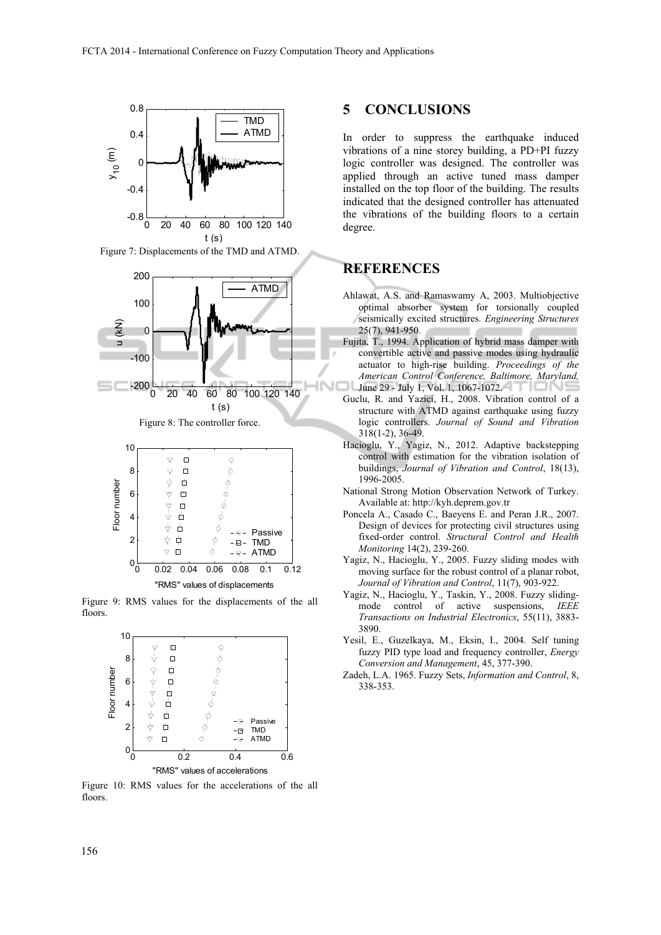

Figure 7: Displacements of the TMD and ATMD.





Figure 9: RMS values for the displacements of the all floors.



Figure 10: RMS values for the accelerations of the all floors.

## **5 CONCLUSIONS**

In order to suppress the earthquake induced vibrations of a nine storey building, a PD+PI fuzzy logic controller was designed. The controller was applied through an active tuned mass damper installed on the top floor of the building. The results indicated that the designed controller has attenuated the vibrations of the building floors to a certain degree.

### **REFERENCES**

- Ahlawat, A.S. and Ramaswamy A, 2003. Multiobjective optimal absorber system for torsionally coupled seismically excited structures. *Engineering Structures* 25(7), 941-950.
- Fujita, T., 1994. Application of hybrid mass damper with convertible active and passive modes using hydraulic actuator to high-rise building. *Proceedings of the American Control Conference, Baltimore, Maryland,* June 29 - July 1, Vol. 1, 1067-1072.
- Guclu, R. and Yazici, H., 2008. Vibration control of a structure with ATMD against earthquake using fuzzy logic controllers. *Journal of Sound and Vibration* 318(1-2), 36-49.
- Hacioglu, Y., Yagiz, N., 2012. Adaptive backstepping control with estimation for the vibration isolation of buildings, *Journal of Vibration and Control*, 18(13), 1996-2005.
- National Strong Motion Observation Network of Turkey. Available at: http://kyh.deprem.gov.tr
- Poncela A., Casado C., Baeyens E. and Peran J.R., 2007. Design of devices for protecting civil structures using fixed-order control. *Structural Control and Health Monitoring* 14(2), 239-260.
- Yagiz, N., Hacioglu, Y., 2005. Fuzzy sliding modes with moving surface for the robust control of a planar robot, *Journal of Vibration and Control*, 11(7), 903-922.
- Yagiz, N., Hacioglu, Y., Taskin, Y., 2008. Fuzzy slidingmode control of active suspensions, *IEEE Transactions on Industrial Electronics*, 55(11), 3883- 3890.
- Yesil, E., Guzelkaya, M., Eksin, I., 2004. Self tuning fuzzy PID type load and frequency controller, *Energy Conversion and Management*, 45, 377-390.
- Zadeh, L.A. 1965. Fuzzy Sets, *Information and Control*, 8, 338-353.